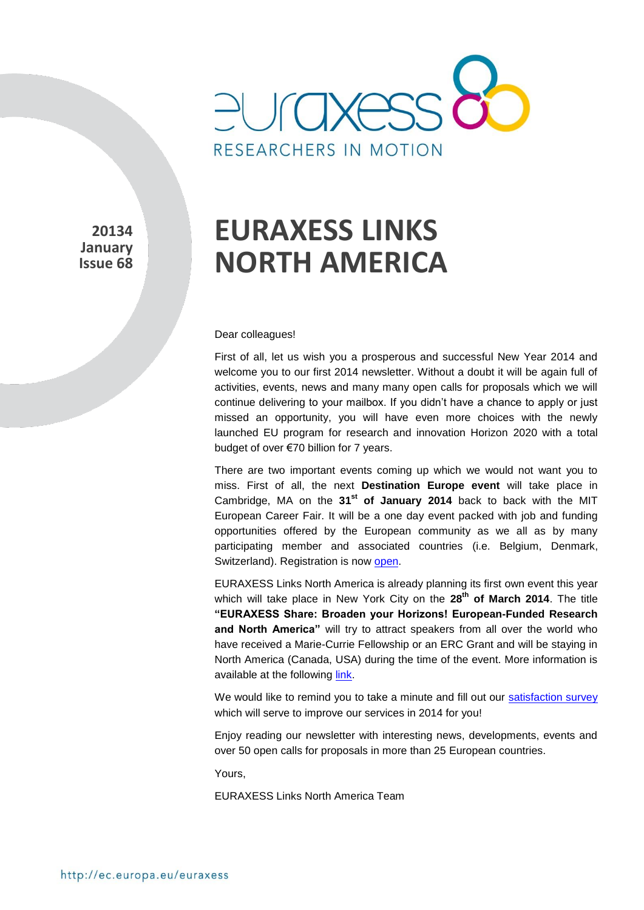

**20134 January Issue 68** 

# **EURAXESS LINKS NORTH AMERICA**

#### Dear colleagues!

First of all, let us wish you a prosperous and successful New Year 2014 and welcome you to our first 2014 newsletter. Without a doubt it will be again full of activities, events, news and many many open calls for proposals which we will continue delivering to your mailbox. If you didn't have a chance to apply or just missed an opportunity, you will have even more choices with the newly launched EU program for research and innovation Horizon 2020 with a total budget of over €70 billion for 7 years.

There are two important events coming up which we would not want you to miss. First of all, the next **Destination Europe event** will take place in Cambridge, MA on the **31st of January 2014** back to back with the MIT European Career Fair. It will be a one day event packed with job and funding opportunities offered by the European community as we all as by many participating member and associated countries (i.e. Belgium, Denmark, Switzerland). Registration is now [open.](https://destinationeurope.teamwork.fr/cambridge/en/)

EURAXESS Links North America is already planning its first own event this year which will take place in New York City on the **28th of March 2014**. The title **"EURAXESS Share: Broaden your Horizons! European-Funded Research and North America"** will try to attract speakers from all over the world who have received a Marie-Currie Fellowship or an ERC Grant and will be staying in North America (Canada, USA) during the time of the event. More information is available at the following [link.](http://ec.europa.eu/euraxess/index.cfm/links/events/north_america)

We would like to remind you to take a minute and fill out our [satisfaction survey](https://secure.pt-dlr.de/pt-survey/index.php?sid=15663&lang=en) which will serve to improve our services in 2014 for you!

Enjoy reading our newsletter with interesting news, developments, events and over 50 open calls for proposals in more than 25 European countries.

Yours,

EURAXESS Links North America Team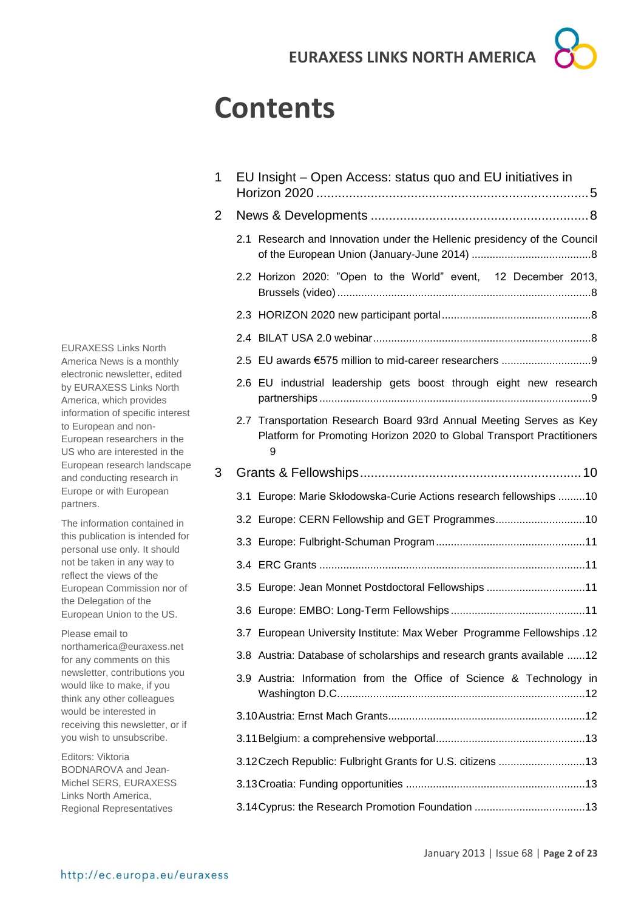## **Contents**

1 EU Insight – [Open Access: status quo and EU initiatives in](#page-4-0)  Horizon 2020 [...........................................................................5](#page-4-0) 2 News & Developments [............................................................8](#page-7-0) 2.1 [Research and Innovation under the Hellenic presidency of the Council](#page-7-1)  [of the European Union \(January-June 2014\)](#page-7-1) ........................................8 2.2 [Horizon 2020: "Open to the World" event, 12 December 2013,](#page-7-2)  [Brussels \(video\).....................................................................................8](#page-7-2) 2.3 [HORIZON 2020 new participant portal..................................................8](#page-7-3) 2.4 BILAT USA [2.0 webinar.........................................................................8](#page-7-4) 2.5 [EU awards €575 million to mid-career researchers](#page-8-0) ..............................9 2.6 [EU industrial leadership gets boost through eight new research](#page-8-1)  partnerships [...........................................................................................9](#page-8-1) 2.7 [Transportation Research Board 93rd Annual Meeting Serves as Key](#page-8-2)  [Platform for Promoting Horizon 2020 to Global Transport Practitioners](#page-8-2) [9](#page-8-2) 3 [Grants & Fellowships.............................................................10](#page-9-0) 3.1 [Europe: Marie Skłodowska-Curie Actions research fellowships](#page-9-1) .........10 3.2 [Europe: CERN Fellowship and GET Programmes..............................10](#page-9-2) 3.3 [Europe: Fulbright-Schuman Program..................................................11](#page-10-0) 3.4 ERC Grants [.........................................................................................11](#page-10-1) 3.5 [Europe: Jean Monnet Postdoctoral Fellowships](#page-10-2) .................................11 3.6 [Europe: EMBO: Long-Term Fellowships](#page-10-3) .............................................11 3.7 [European University Institute: Max Weber Programme Fellowships](#page-11-0) .12 3.8 [Austria: Database of scholarships and research grants available](#page-11-1) ......12 3.9 [Austria: Information from the Office of Science & Technology in](#page-11-2)  [Washington D.C...................................................................................12](#page-11-2) [3.10Austria: Ernst Mach Grants..................................................................12](#page-11-3) [3.11Belgium: a comprehensive webportal..................................................13](#page-12-0) [3.12Czech Republic: Fulbright Grants for U.S. citizens](#page-12-1) .............................13 3.13Croatia: Funding opportunities [............................................................13](#page-12-2) [3.14Cyprus: the Research Promotion Foundation](#page-12-3) .....................................13

EURAXESS Links North America News is a monthly electronic newsletter, edited by EURAXESS Links North America, which provides information of specific interest to European and non-European researchers in the US who are interested in the European research landscape and conducting research in Europe or with European partners.

The information contained in this publication is intended for personal use only. It should not be taken in any way to reflect the views of the European Commission nor of the Delegation of the European Union to the US.

Please email to northamerica@euraxess.net for any comments on this newsletter, contributions you would like to make, if you think any other colleagues would be interested in receiving this newsletter, or if you wish to unsubscribe.

Editors: Viktoria BODNAROVA and Jean-Michel SERS, EURAXESS Links North America, Regional Representatives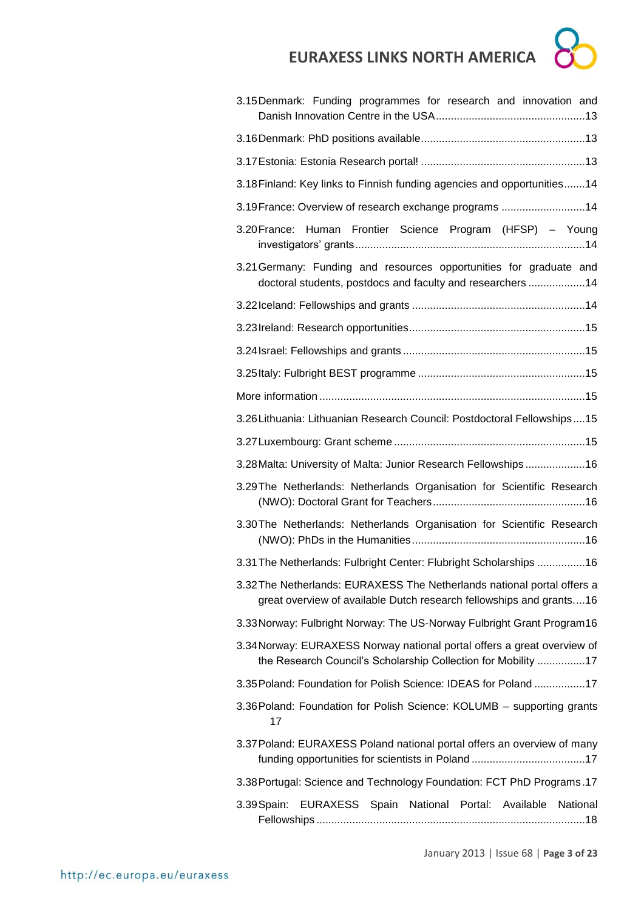

| 3.15 Denmark: Funding programmes for research and innovation and                                                                                |
|-------------------------------------------------------------------------------------------------------------------------------------------------|
|                                                                                                                                                 |
|                                                                                                                                                 |
| 3.18 Finland: Key links to Finnish funding agencies and opportunities 14                                                                        |
| 3.19 France: Overview of research exchange programs 14                                                                                          |
| Human Frontier Science Program (HFSP) - Young<br>3.20 France:                                                                                   |
| 3.21 Germany: Funding and resources opportunities for graduate and<br>doctoral students, postdocs and faculty and researchers 14                |
|                                                                                                                                                 |
|                                                                                                                                                 |
|                                                                                                                                                 |
|                                                                                                                                                 |
|                                                                                                                                                 |
| 3.26 Lithuania: Lithuanian Research Council: Postdoctoral Fellowships15                                                                         |
|                                                                                                                                                 |
| 3.28 Malta: University of Malta: Junior Research Fellowships16                                                                                  |
| 3.29 The Netherlands: Netherlands Organisation for Scientific Research                                                                          |
| 3.30 The Netherlands: Netherlands Organisation for Scientific Research                                                                          |
| 3.31 The Netherlands: Fulbright Center: Flubright Scholarships 16                                                                               |
| 3.32 The Netherlands: EURAXESS The Netherlands national portal offers a<br>great overview of available Dutch research fellowships and grants 16 |
| 3.33 Norway: Fulbright Norway: The US-Norway Fulbright Grant Program16                                                                          |
| 3.34 Norway: EURAXESS Norway national portal offers a great overview of<br>the Research Council's Scholarship Collection for Mobility 17        |
| 3.35 Poland: Foundation for Polish Science: IDEAS for Poland 17                                                                                 |
| 3.36 Poland: Foundation for Polish Science: KOLUMB - supporting grants<br>17                                                                    |
| 3.37 Poland: EURAXESS Poland national portal offers an overview of many                                                                         |
| 3.38 Portugal: Science and Technology Foundation: FCT PhD Programs.17                                                                           |
| EURAXESS Spain National Portal: Available National<br>3.39 Spain:                                                                               |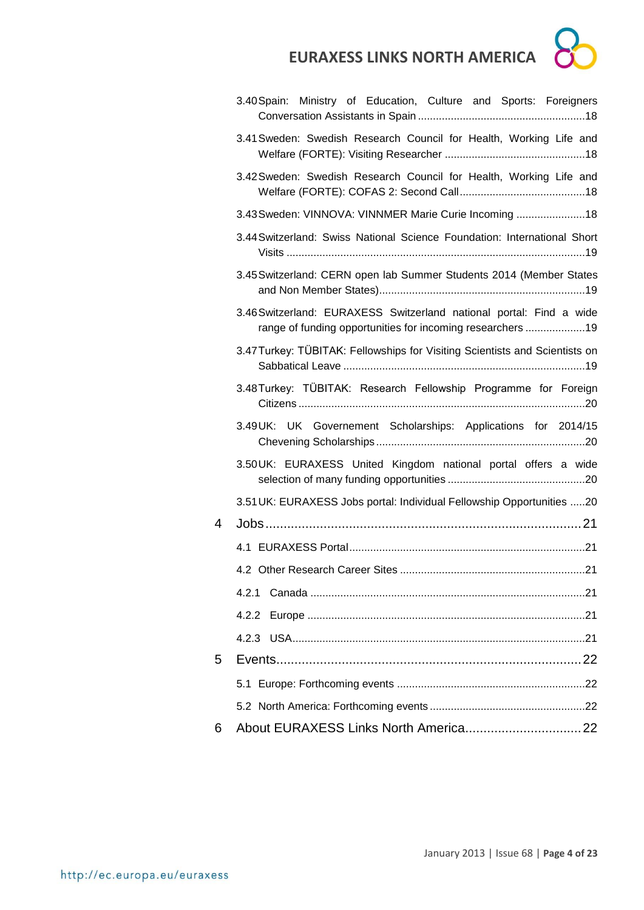

|   | 3.40 Spain: Ministry of Education, Culture and Sports: Foreigners                                                                 |
|---|-----------------------------------------------------------------------------------------------------------------------------------|
|   | 3.41 Sweden: Swedish Research Council for Health, Working Life and                                                                |
|   | 3.42 Sweden: Swedish Research Council for Health, Working Life and                                                                |
|   | 3.43 Sweden: VINNOVA: VINNMER Marie Curie Incoming 18                                                                             |
|   | 3.44 Switzerland: Swiss National Science Foundation: International Short                                                          |
|   | 3.45 Switzerland: CERN open lab Summer Students 2014 (Member States                                                               |
|   | 3.46 Switzerland: EURAXESS Switzerland national portal: Find a wide<br>range of funding opportunities for incoming researchers 19 |
|   | 3.47 Turkey: TÜBITAK: Fellowships for Visiting Scientists and Scientists on                                                       |
|   | 3.48 Turkey: TÜBITAK: Research Fellowship Programme for Foreign                                                                   |
|   | 3.49UK: UK Governement Scholarships: Applications for 2014/15                                                                     |
|   | 3.50UK: EURAXESS United Kingdom national portal offers a wide                                                                     |
|   | 3.51 UK: EURAXESS Jobs portal: Individual Fellowship Opportunities 20                                                             |
| 4 |                                                                                                                                   |
|   |                                                                                                                                   |
|   |                                                                                                                                   |
|   | 4.2.1                                                                                                                             |
|   | 4.2.2                                                                                                                             |
|   |                                                                                                                                   |
| 5 |                                                                                                                                   |
|   |                                                                                                                                   |
|   |                                                                                                                                   |
| 6 |                                                                                                                                   |
|   |                                                                                                                                   |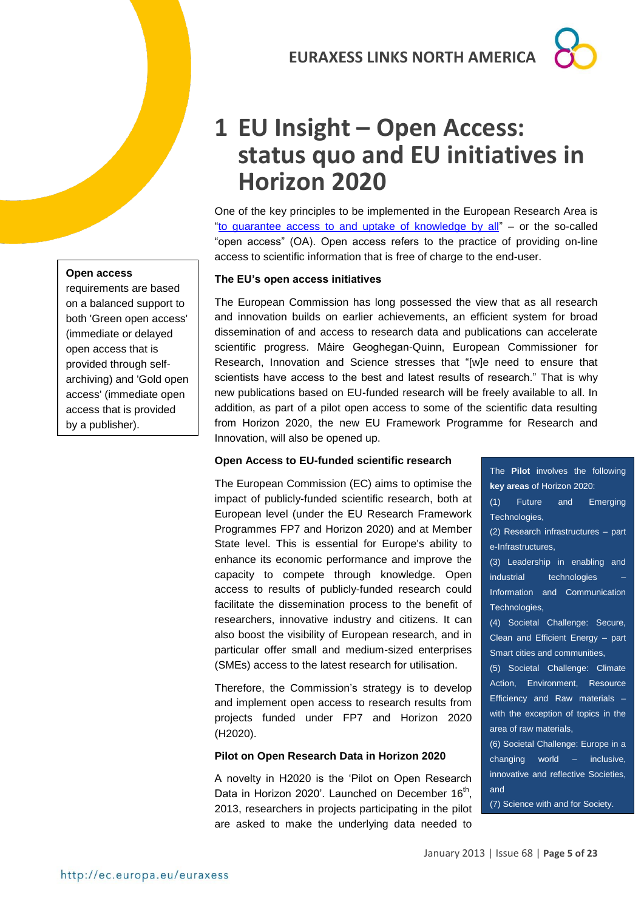## <span id="page-4-0"></span>**1 EU Insight – Open Access: status quo and EU initiatives in Horizon 2020**

One of the key principles to be implemented in the European Research Area is ["to guarantee access to and uptake of knowledge by all"](http://ec.europa.eu/research/era/optimal-circulation_en.htm) – or the so-called "open access" (OA). Open access refers to the practice of providing on-line access to scientific information that is free of charge to the end-user.

### **The EU's open access initiatives**

The European Commission has long possessed the view that as all research and innovation builds on earlier achievements, an efficient system for broad dissemination of and access to research data and publications can accelerate scientific progress. Máire Geoghegan-Quinn, European Commissioner for Research, Innovation and Science stresses that "[w]e need to ensure that scientists have access to the best and latest results of research." That is why new publications based on EU-funded research will be freely available to all. In addition, as part of a pilot open access to some of the scientific data resulting from Horizon 2020, the new EU Framework Programme for Research and Innovation, will also be opened up.

### **Open Access to EU-funded scientific research**

The European Commission (EC) aims to optimise the impact of publicly-funded scientific research, both at European level (under the EU Research Framework Programmes FP7 and Horizon 2020) and at Member State level. This is essential for Europe's ability to enhance its economic performance and improve the capacity to compete through knowledge. Open access to results of publicly-funded research could facilitate the dissemination process to the benefit of researchers, innovative industry and citizens. It can also boost the visibility of European research, and in particular offer small and medium-sized enterprises (SMEs) access to the latest research for utilisation.

Therefore, the Commission's strategy is to develop and implement open access to research results from projects funded under FP7 and Horizon 2020 (H2020).

## **Pilot on Open Research Data in Horizon 2020**

A novelty in H2020 is the 'Pilot on Open Research Data in Horizon 2020'. Launched on December 16<sup>th</sup>, 2013, researchers in projects participating in the pilot are asked to make the underlying data needed to

The **Pilot** involves the following **key areas** of Horizon 2020: (1) Future and Emerging Technologies, (2) Research infrastructures – part e-Infrastructures, (3) Leadership in enabling and industrial technologies Information and Communication Technologies, (4) Societal Challenge: Secure, Clean and Efficient Energy – part Smart cities and communities, (5) Societal Challenge: Climate Action, Environment, Resource Efficiency and Raw materials – with the exception of topics in the area of raw materials, (6) Societal Challenge: Europe in a changing world – inclusive, innovative and reflective Societies, and

(7) Science with and for Society.

## **Open access**

requirements are based on a balanced support to both 'Green open access' (immediate or delayed open access that is provided through selfarchiving) and 'Gold open access' (immediate open access that is provided by a publisher).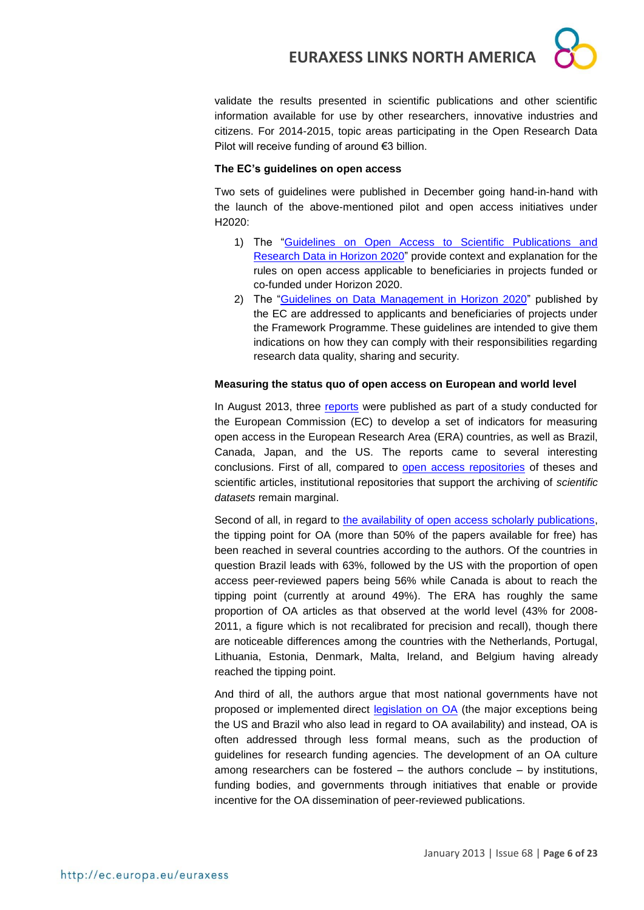

validate the results presented in scientific publications and other scientific information available for use by other researchers, innovative industries and citizens. For 2014-2015, topic areas participating in the Open Research Data Pilot will receive funding of around €3 billion.

#### **The EC's guidelines on open access**

Two sets of guidelines were published in December going hand-in-hand with the launch of the above-mentioned pilot and open access initiatives under H2020:

- 1) The ["Guidelines on Open Access to Scientific Publications and](http://ec.europa.eu/research/participants/data/ref/h2020/grants_manual/hi/oa_pilot/h2020-hi-oa-pilot-guide_en.pdf)  [Research Data in Horizon 2020"](http://ec.europa.eu/research/participants/data/ref/h2020/grants_manual/hi/oa_pilot/h2020-hi-oa-pilot-guide_en.pdf) provide context and explanation for the rules on open access applicable to beneficiaries in projects funded or co-funded under Horizon 2020.
- 2) The ["Guidelines on Data Management in Horizon 2020"](http://ec.europa.eu/research/participants/data/ref/h2020/grants_manual/hi/oa_pilot/h2020-hi-oa-data-mgt_en.pdf) published by the EC are addressed to applicants and beneficiaries of projects under the Framework Programme. These guidelines are intended to give them indications on how they can comply with their responsibilities regarding research data quality, sharing and security.

#### **Measuring the status quo of open access on European and world level**

In August 2013, three [reports](http://www.science-metrix.com/eng/news_13_08.htm) were published as part of a study conducted for the European Commission (EC) to develop a set of indicators for measuring open access in the European Research Area (ERA) countries, as well as Brazil, Canada, Japan, and the US. The reports came to several interesting conclusions. First of all, compared to [open access repositories](http://www.science-metrix.com/pdf/SM_EC_OA_Data.pdf) of theses and scientific articles, institutional repositories that support the archiving of *scientific datasets* remain marginal.

Second of all, in regard to [the availability of open access scholarly publications,](http://www.science-metrix.com/pdf/SM_EC_OA_Availability_2004-2011.pdf) the tipping point for OA (more than 50% of the papers available for free) has been reached in several countries according to the authors. Of the countries in question Brazil leads with 63%, followed by the US with the proportion of open access peer-reviewed papers being 56% while Canada is about to reach the tipping point (currently at around 49%). The ERA has roughly the same proportion of OA articles as that observed at the world level (43% for 2008- 2011, a figure which is not recalibrated for precision and recall), though there are noticeable differences among the countries with the Netherlands, Portugal, Lithuania, Estonia, Denmark, Malta, Ireland, and Belgium having already reached the tipping point.

And third of all, the authors argue that most national governments have not proposed or implemented direct [legislation on OA](http://www.science-metrix.com/pdf/SM_EC_OA_Policies.pdf) (the major exceptions being the US and Brazil who also lead in regard to OA availability) and instead, OA is often addressed through less formal means, such as the production of guidelines for research funding agencies. The development of an OA culture among researchers can be fostered – the authors conclude – by institutions, funding bodies, and governments through initiatives that enable or provide incentive for the OA dissemination of peer-reviewed publications.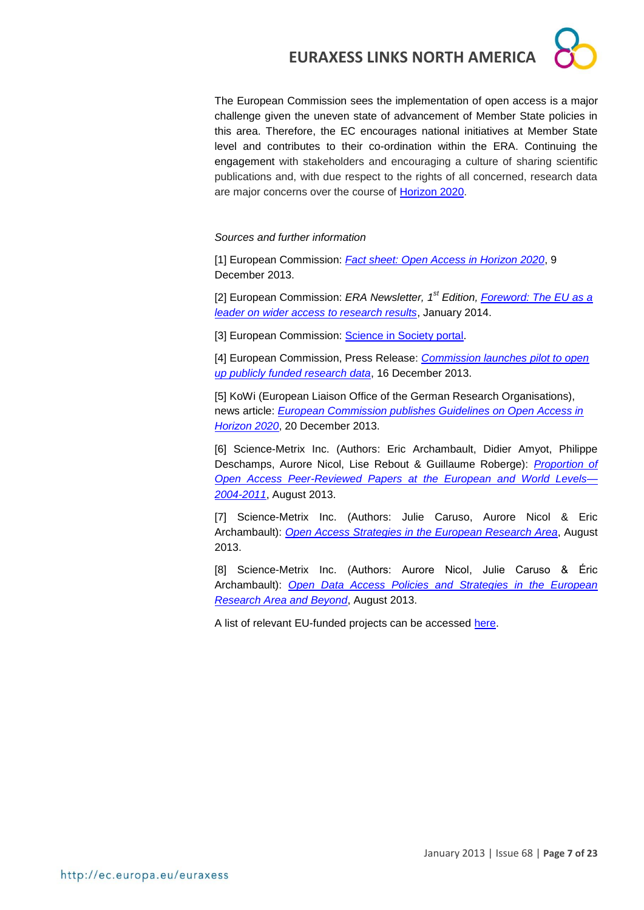The European Commission sees the implementation of open access is a major challenge given the uneven state of advancement of Member State policies in this area. Therefore, the EC encourages national initiatives at Member State level and contributes to their co-ordination within the ERA. Continuing the engagement with stakeholders and encouraging a culture of sharing scientific publications and, with due respect to the rights of all concerned, research data are major concerns over the course of [Horizon 2020.](http://ec.europa.eu/programmes/horizon2020/)

*Sources and further information* 

[1] European Commission: *[Fact sheet: Open Access in Horizon 2020](https://ec.europa.eu/programmes/horizon2020/sites/horizon2020/files/FactSheet_Open_Access.pdf)*, 9 December 2013.

[2] European Commission: *ERA Newsletter, 1st Edition[, Foreword: The EU as a](http://ec.europa.eu/research/era/newsletter1/foreword_en.htm)  [leader on wider access to research results](http://ec.europa.eu/research/era/newsletter1/foreword_en.htm)*, January 2014.

[3] European Commission: [Science in Society portal.](http://ec.europa.eu/research/science-society/index.cfm?fuseaction=public.topic&id=1300)

[4] European Commission, Press Release: *[Commission launches pilot to open](http://europa.eu/rapid/press-release_IP-13-1257_en.htm)  [up publicly funded research data](http://europa.eu/rapid/press-release_IP-13-1257_en.htm)*, 16 December 2013.

[5] KoWi (European Liaison Office of the German Research Organisations), news article: *[European Commission publishes Guidelines on Open Access in](http://www.kowi.de/en/desktopdefault.aspx/tabid-36/218_read-3936/)  [Horizon 2020](http://www.kowi.de/en/desktopdefault.aspx/tabid-36/218_read-3936/)*, 20 December 2013.

[6] Science-Metrix Inc. (Authors: Eric Archambault, Didier Amyot, Philippe Deschamps, Aurore Nicol, Lise Rebout & Guillaume Roberge): *[Proportion of](http://www.science-metrix.com/pdf/SM_EC_OA_Availability_2004-2011.pdf)  [Open Access Peer-Reviewed Papers at the European and World Levels—](http://www.science-metrix.com/pdf/SM_EC_OA_Availability_2004-2011.pdf) [2004-2011](http://www.science-metrix.com/pdf/SM_EC_OA_Availability_2004-2011.pdf)*, August 2013.

[7] Science-Metrix Inc. (Authors: Julie Caruso, Aurore Nicol & Eric Archambault): *[Open Access Strategies in the European Research Area](http://www.science-metrix.com/pdf/SM_EC_OA_Policies.pdf)*, August 2013.

[8] Science-Metrix Inc. (Authors: Aurore Nicol, Julie Caruso & Éric Archambault): *[Open Data Access Policies and Strategies in the European](http://www.science-metrix.com/pdf/SM_EC_OA_Data.pdf)  [Research Area and Beyond](http://www.science-metrix.com/pdf/SM_EC_OA_Data.pdf)*, August 2013.

A list of relevant EU-funded projects can be accessed [here.](http://ec.europa.eu/research/science-society/index.cfm?fuseaction=public.topic&id=1302&lang=1)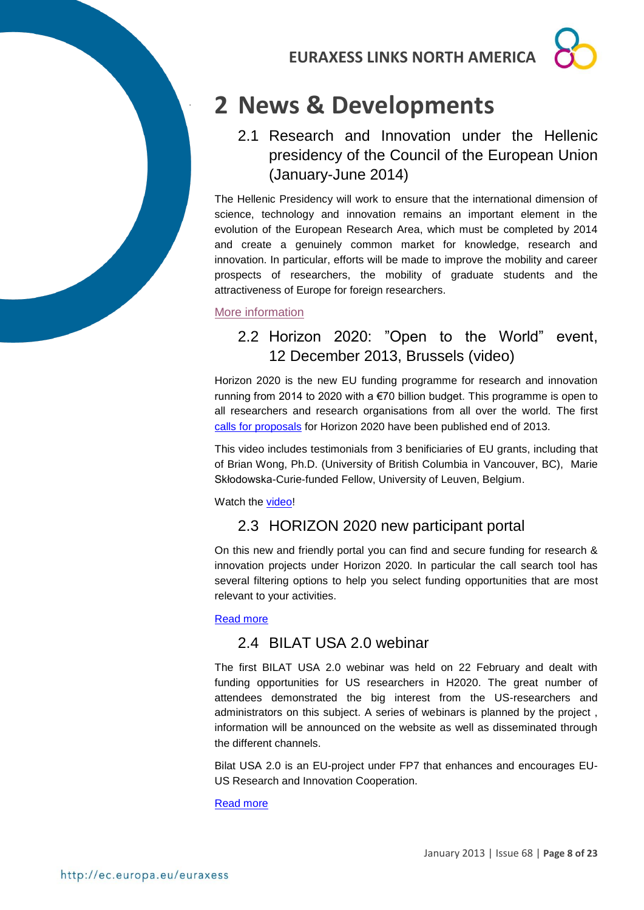

## <span id="page-7-0"></span>**2 News & Developments**

## <span id="page-7-1"></span>2.1 Research and Innovation under the Hellenic presidency of the Council of the European Union (January-June 2014)

The Hellenic Presidency will work to ensure that the international dimension of science, technology and innovation remains an important element in the evolution of the European Research Area, which must be completed by 2014 and create a genuinely common market for knowledge, research and innovation. In particular, efforts will be made to improve the mobility and career prospects of researchers, the mobility of graduate students and the attractiveness of Europe for foreign researchers.

<span id="page-7-2"></span>[More information](http://www.gr2014.eu/Programme-Greek-Presidency-EU)

.

## 2.2 Horizon 2020: "Open to the World" event, 12 December 2013, Brussels (video)

Horizon 2020 is the new EU funding programme for research and innovation running from 2014 to 2020 with a €70 billion budget. This programme is open to all researchers and research organisations from all over the world. The first [calls for proposals](https://ec.europa.eu/research/participants/portal/desktop/en/opportunities/h2020/index.html) for Horizon 2020 have been published end of 2013.

This video includes testimonials from 3 benificiaries of EU grants, including that of Brian Wong, Ph.D. (University of British Columbia in Vancouver, BC), Marie Skłodowska-Curie-funded Fellow, University of Leuven, Belgium.

<span id="page-7-3"></span>Watch the [video!](http://ec.europa.eu/avservices/video/player.cfm?ref=I084543)

## 2.3 HORIZON 2020 new participant portal

On this new and friendly portal you can find and secure funding for research & innovation projects under Horizon 2020. In particular the call search tool has several filtering options to help you select funding opportunities that are most relevant to your activities.

#### <span id="page-7-4"></span>[Read more](http://ec.europa.eu/research/participants/portal/desktop/en/home.html)

## 2.4 BILAT USA 2.0 webinar

The first BILAT USA 2.0 webinar was held on 22 February and dealt with funding opportunities for US researchers in H2020. The great number of attendees demonstrated the big interest from the US-researchers and administrators on this subject. A series of webinars is planned by the project , information will be announced on the website as well as disseminated through the different channels.

Bilat USA 2.0 is an EU-project under FP7 that enhances and encourages EU-US Research and Innovation Cooperation.

[Read more](http://www.euussciencetechnology.eu/content/webinar-funding-opportunities-us-researchers-horizon-2020)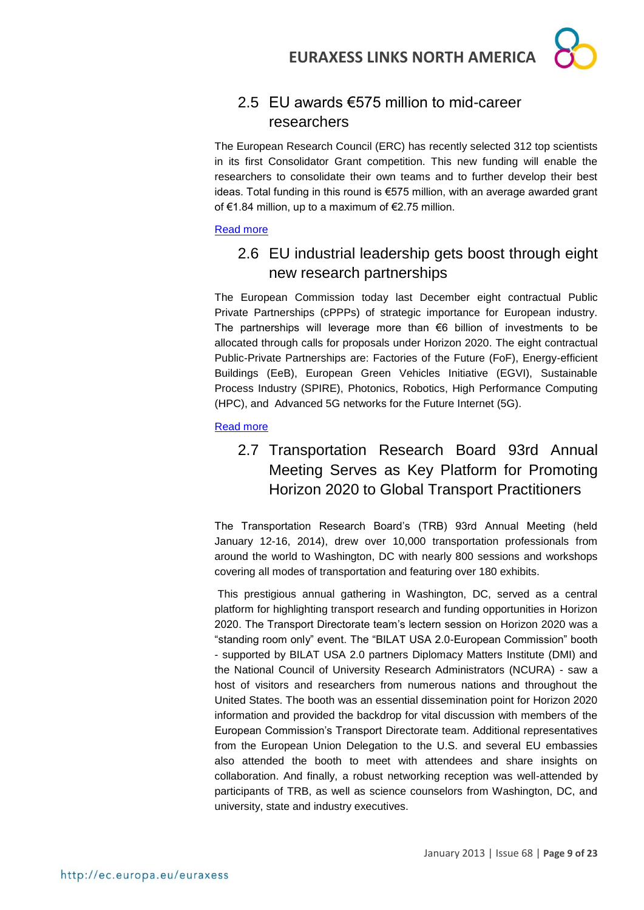## <span id="page-8-0"></span>2.5 EU awards €575 million to mid-career researchers

The European Research Council (ERC) has recently selected 312 top scientists in its first Consolidator Grant competition. This new funding will enable the researchers to consolidate their own teams and to further develop their best ideas. Total funding in this round is €575 million, with an average awarded grant of €1.84 million, up to a maximum of €2.75 million.

#### <span id="page-8-1"></span>[Read more](http://erc.europa.eu/sites/default/files/press_release/files/Examples_ERC_cog_projects_2013.pdf)

## 2.6 EU industrial leadership gets boost through eight new research partnerships

The European Commission today last December eight contractual Public Private Partnerships (cPPPs) of strategic importance for European industry. The partnerships will leverage more than  $\epsilon$ 6 billion of investments to be allocated through calls for proposals under Horizon 2020. The eight contractual Public-Private Partnerships are: Factories of the Future (FoF), Energy-efficient Buildings (EeB), European Green Vehicles Initiative (EGVI), Sustainable Process Industry (SPIRE), Photonics, Robotics, High Performance Computing (HPC), and Advanced 5G networks for the Future Internet (5G).

#### <span id="page-8-2"></span>[Read more](http://europa.eu/rapid/press-release_IP-13-1261_en.htm)

## 2.7 Transportation Research Board 93rd Annual Meeting Serves as Key Platform for Promoting Horizon 2020 to Global Transport Practitioners

The Transportation Research Board's (TRB) 93rd Annual Meeting (held January 12-16, 2014), drew over 10,000 transportation professionals from around the world to Washington, DC with nearly 800 sessions and workshops covering all modes of transportation and featuring over 180 exhibits.

This prestigious annual gathering in Washington, DC, served as a central platform for highlighting transport research and funding opportunities in Horizon 2020. The Transport Directorate team's lectern session on Horizon 2020 was a "standing room only" event. The "BILAT USA 2.0-European Commission" booth - supported by BILAT USA 2.0 partners Diplomacy Matters Institute (DMI) and the National Council of University Research Administrators (NCURA) - saw a host of visitors and researchers from numerous nations and throughout the United States. The booth was an essential dissemination point for Horizon 2020 information and provided the backdrop for vital discussion with members of the European Commission's Transport Directorate team. Additional representatives from the European Union Delegation to the U.S. and several EU embassies also attended the booth to meet with attendees and share insights on collaboration. And finally, a robust networking reception was well-attended by participants of TRB, as well as science counselors from Washington, DC, and university, state and industry executives.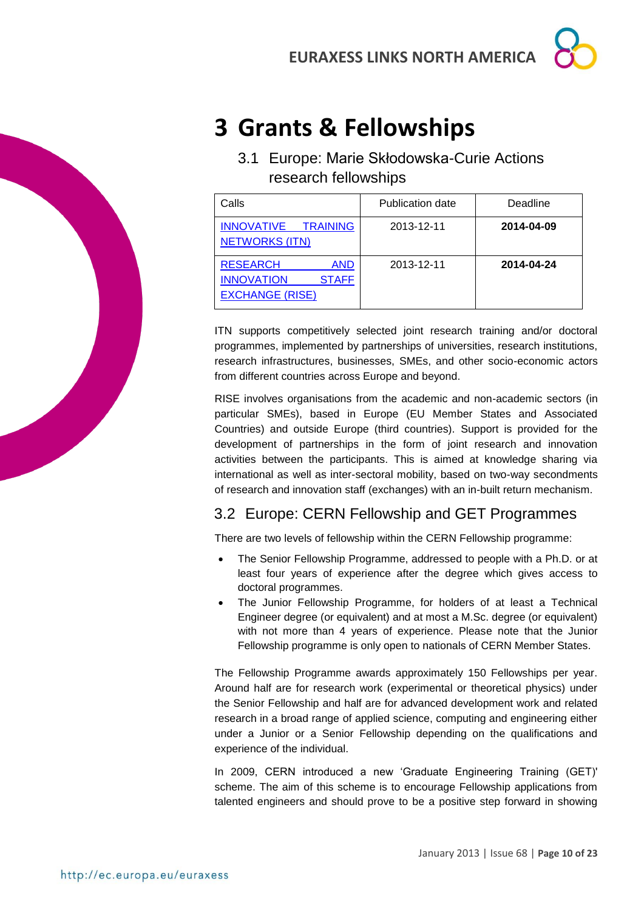## <span id="page-9-0"></span>**3 Grants & Fellowships**

<span id="page-9-1"></span>3.1 Europe: Marie Skłodowska-Curie Actions research fellowships

| Calls                                                                                        | <b>Publication date</b> | Deadline   |
|----------------------------------------------------------------------------------------------|-------------------------|------------|
| INNOVATIVE TRAINING<br><b>NETWORKS (ITN)</b>                                                 | 2013-12-11              | 2014-04-09 |
| <b>RESEARCH</b><br><b>AND</b><br><b>INNOVATION</b><br><b>STAFF</b><br><b>EXCHANGE (RISE)</b> | 2013-12-11              | 2014-04-24 |

ITN supports competitively selected joint research training and/or doctoral programmes, implemented by partnerships of universities, research institutions, research infrastructures, businesses, SMEs, and other socio-economic actors from different countries across Europe and beyond.

RISE involves organisations from the academic and non-academic sectors (in particular SMEs), based in Europe (EU Member States and Associated Countries) and outside Europe (third countries). Support is provided for the development of partnerships in the form of joint research and innovation activities between the participants. This is aimed at knowledge sharing via international as well as inter-sectoral mobility, based on two-way secondments of research and innovation staff (exchanges) with an in-built return mechanism.

## <span id="page-9-2"></span>3.2 Europe: CERN Fellowship and GET Programmes

There are two levels of fellowship within the CERN Fellowship programme:

- The Senior Fellowship Programme, addressed to people with a Ph.D. or at least four years of experience after the degree which gives access to doctoral programmes.
- The Junior Fellowship Programme, for holders of at least a Technical Engineer degree (or equivalent) and at most a M.Sc. degree (or equivalent) with not more than 4 years of experience. Please note that the Junior Fellowship programme is only open to nationals of CERN Member States.

The Fellowship Programme awards approximately 150 Fellowships per year. Around half are for research work (experimental or theoretical physics) under the Senior Fellowship and half are for advanced development work and related research in a broad range of applied science, computing and engineering either under a Junior or a Senior Fellowship depending on the qualifications and experience of the individual.

In 2009, CERN introduced a new 'Graduate Engineering Training (GET)' scheme. The aim of this scheme is to encourage Fellowship applications from talented engineers and should prove to be a positive step forward in showing

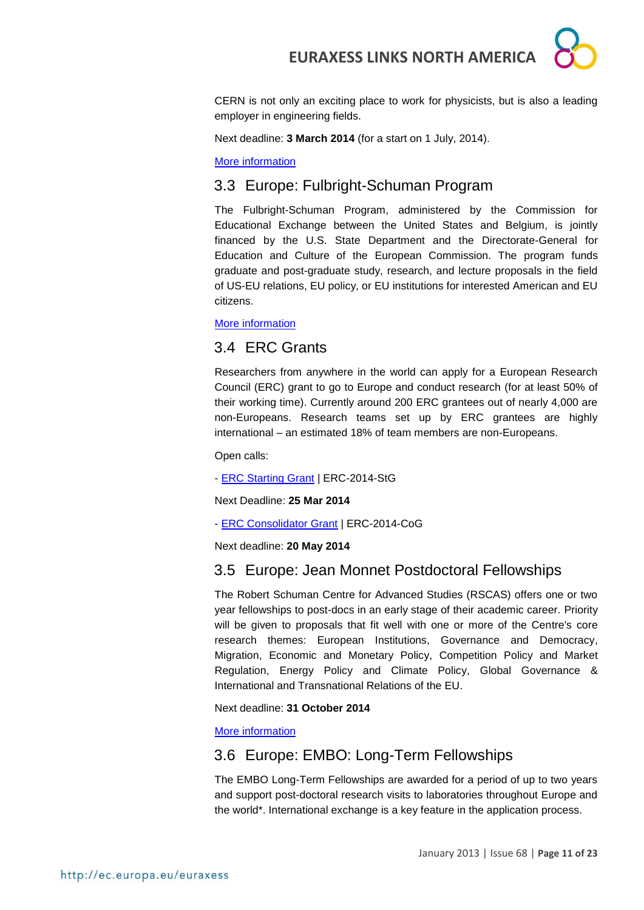

CERN is not only an exciting place to work for physicists, but is also a leading employer in engineering fields.

Next deadline: **3 March 2014** (for a start on 1 July, 2014).

[More information](http://jobs.web.cern.ch/join-us/fellowship-programme)

### <span id="page-10-0"></span>3.3 Europe: Fulbright-Schuman Program

The Fulbright-Schuman Program, administered by the Commission for Educational Exchange between the United States and Belgium, is jointly financed by the U.S. State Department and the Directorate-General for Education and Culture of the European Commission. The program funds graduate and post-graduate study, research, and lecture proposals in the field of US-EU relations, EU policy, or EU institutions for interested American and EU citizens.

[More information](http://www.fulbrightschuman.eu/)

### <span id="page-10-1"></span>3.4 ERC Grants

Researchers from anywhere in the world can apply for a European Research Council (ERC) grant to go to Europe and conduct research (for at least 50% of their working time). Currently around 200 ERC grantees out of nearly 4,000 are non-Europeans. Research teams set up by ERC grantees are highly international – an estimated 18% of team members are non-Europeans.

Open calls:

- **[ERC Starting Grant](http://ec.europa.eu/research/participants/portal/desktop/en/opportunities/h2020/calls/erc-2014-stg.html) | ERC-2014-StG** 

Next Deadline: **25 Mar 2014**

- [ERC Consolidator Grant](http://ec.europa.eu/research/participants/portal/desktop/en/opportunities/h2020/calls/erc-2014-cog.html) | ERC-2014-CoG

Next deadline: **20 May 2014**

### <span id="page-10-2"></span>3.5 Europe: Jean Monnet Postdoctoral Fellowships

The Robert Schuman Centre for Advanced Studies (RSCAS) offers one or two year fellowships to post-docs in an early stage of their academic career. Priority will be given to proposals that fit well with one or more of the Centre's core research themes: European Institutions, Governance and Democracy, Migration, Economic and Monetary Policy, Competition Policy and Market Regulation, Energy Policy and Climate Policy, Global Governance & International and Transnational Relations of the EU.

Next deadline: **31 October 2014**

[More information](http://www.eui.eu/ServicesAndAdmin/AcademicService/Fellowships/JeanMonnetFellowships/Index.aspx)

### <span id="page-10-3"></span>3.6 Europe: EMBO: Long-Term Fellowships

The EMBO Long-Term Fellowships are awarded for a period of up to two years and support post-doctoral research visits to laboratories throughout Europe and the world\*. International exchange is a key feature in the application process.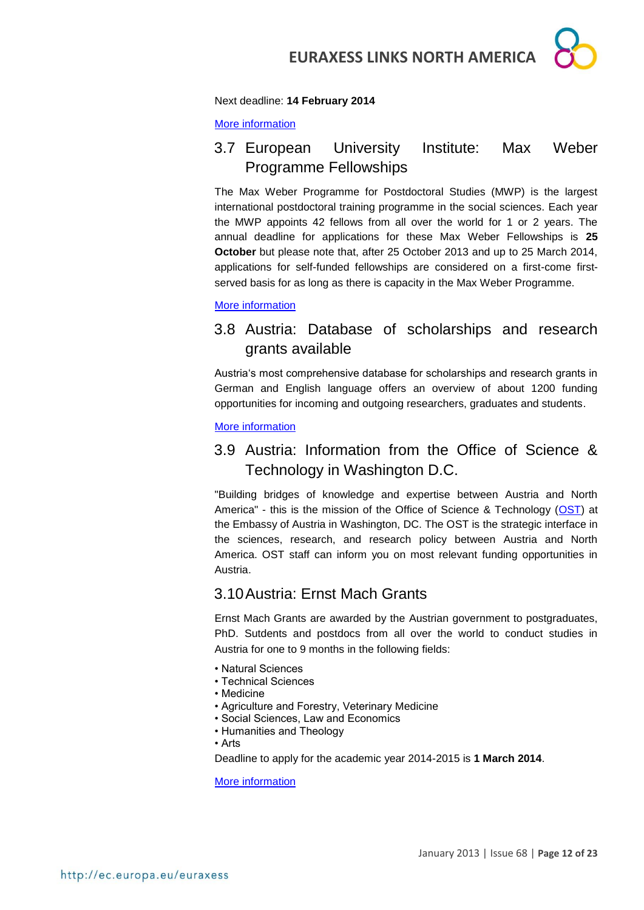

#### Next deadline: **14 February 2014**

[More information](http://www.embo.org/funding-awards/fellowships/long-term-fellowships)

## <span id="page-11-0"></span>3.7 European University Institute: Max Weber Programme Fellowships

The Max Weber Programme for Postdoctoral Studies (MWP) is the largest international postdoctoral training programme in the social sciences. Each year the MWP appoints 42 fellows from all over the world for 1 or 2 years. The annual deadline for applications for these Max Weber Fellowships is **25 October** but please note that, after 25 October 2013 and up to 25 March 2014, applications for self-funded fellowships are considered on a first-come firstserved basis for as long as there is capacity in the Max Weber Programme.

[More information](http://www.eui.eu/ProgrammesAndFellowships/MaxWeberProgramme/ApplytotheMWP/Index.aspx)

## <span id="page-11-1"></span>3.8 Austria: Database of scholarships and research grants available

Austria's most comprehensive database for scholarships and research grants in German and English language offers an overview of about 1200 funding opportunities for incoming and outgoing researchers, graduates and students.

[More information](http://www.oead.at/index.php?id=737&L=1)

## <span id="page-11-2"></span>3.9 Austria: Information from the Office of Science & Technology in Washington D.C.

"Building bridges of knowledge and expertise between Austria and North America" - this is the mission of the Office of Science & Technology [\(OST\)](http://www.ostina.org/) at the Embassy of Austria in Washington, DC. The OST is the strategic interface in the sciences, research, and research policy between Austria and North America. OST staff can inform you on most relevant funding opportunities in Austria.

### <span id="page-11-3"></span>3.10Austria: Ernst Mach Grants

Ernst Mach Grants are awarded by the Austrian government to postgraduates, PhD. Sutdents and postdocs from all over the world to conduct studies in Austria for one to 9 months in the following fields:

- Natural Sciences
- Technical Sciences
- Medicine
- Agriculture and Forestry, Veterinary Medicine
- Social Sciences, Law and Economics
- Humanities and Theology
- Arts

Deadline to apply for the academic year 2014-2015 is **1 March 2014**.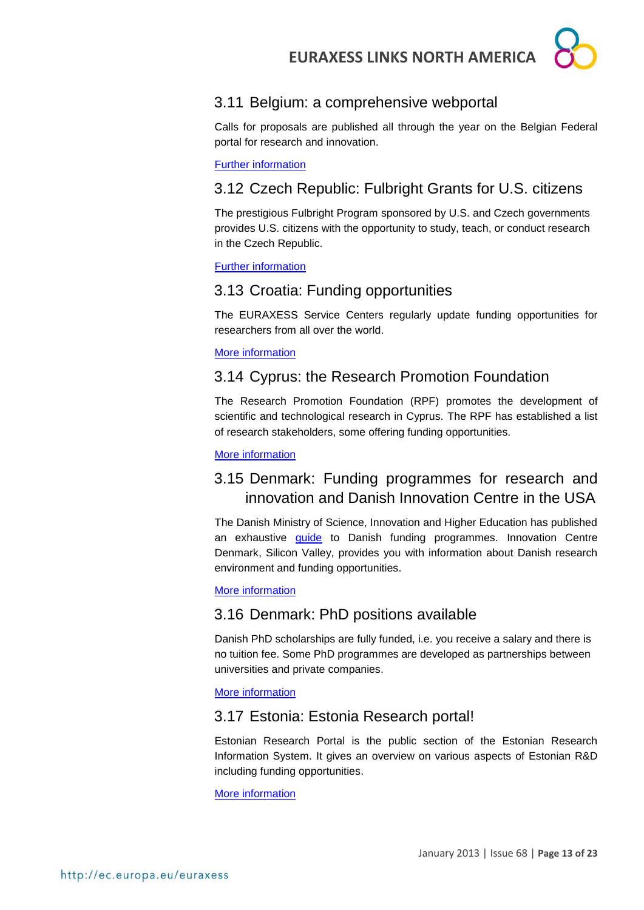## <span id="page-12-0"></span>3.11 Belgium: a comprehensive webportal

Calls for proposals are published all through the year on the Belgian Federal portal for research and innovation.

[Further information](http://www.research.be/ListURL/list.asp?KeyId=623&up=619)

## <span id="page-12-1"></span>3.12 Czech Republic: Fulbright Grants for U.S. citizens

The prestigious Fulbright Program sponsored by U.S. and Czech governments provides U.S. citizens with the opportunity to study, teach, or conduct research in the Czech Republic.

[Further information](http://www.fulbright.cz/fulbright-grants-us-citizens#basic)

## <span id="page-12-2"></span>3.13 Croatia: Funding opportunities

The EURAXESS Service Centers regularly update funding opportunities for researchers from all over the world.

#### [More information](http://www.euraxess.hr/sitegenius/topic.php?id=317)

### <span id="page-12-3"></span>3.14 Cyprus: the Research Promotion Foundation

The Research Promotion Foundation (RPF) promotes the development of scientific and technological research in Cyprus. The RPF has established a list of research stakeholders, some offering funding opportunities.

[More information](http://www.research.org.cy/EN/user_info/useful_websites.html)

## <span id="page-12-4"></span>3.15 Denmark: Funding programmes for research and innovation and Danish Innovation Centre in the USA

The Danish Ministry of Science, Innovation and Higher Education has published an exhaustive *quide* to Danish funding programmes. Innovation Centre Denmark, Silicon Valley, provides you with information about Danish research environment and funding opportunities.

#### [More information](http://icdk.um.dk/en/about-us/innovationcentres/siliconvalley/)

## <span id="page-12-5"></span>3.16 Denmark: PhD positions available

Danish PhD scholarships are fully funded, i.e. you receive a salary and there is no tuition fee. Some PhD programmes are developed as partnerships between universities and private companies.

[More information](http://studyindenmark.dk/study-options/phd-positions-1)

## <span id="page-12-6"></span>3.17 Estonia: Estonia Research portal!

Estonian Research Portal is the public section of the Estonian Research Information System. It gives an overview on various aspects of Estonian R&D including funding opportunities.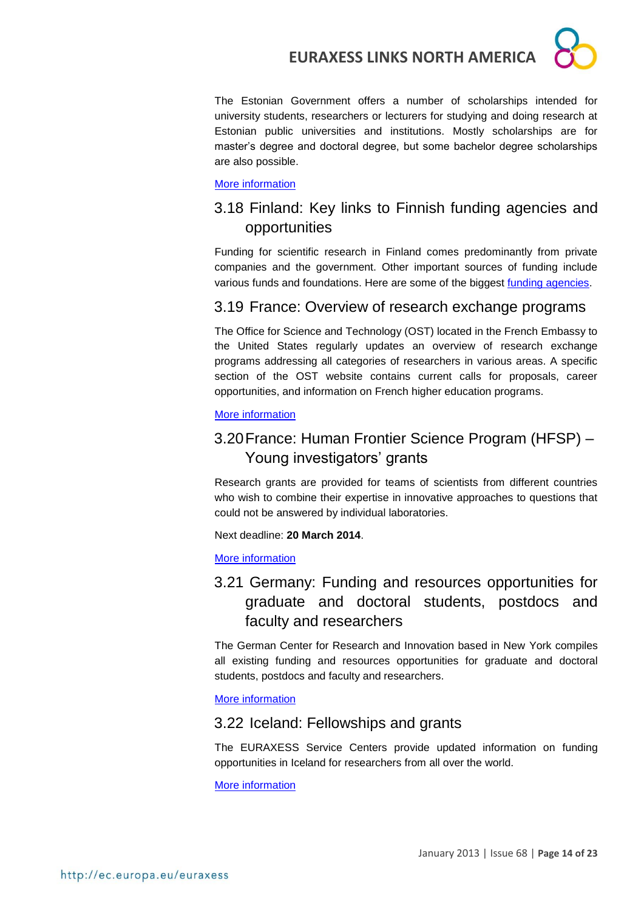

The Estonian Government offers a number of scholarships intended for university students, researchers or lecturers for studying and doing research at Estonian public universities and institutions. Mostly scholarships are for master's degree and doctoral degree, but some bachelor degree scholarships are also possible.

#### [More information](http://www.studyinestonia.ee/study/scholarships)

## <span id="page-13-0"></span>3.18 Finland: Key links to Finnish funding agencies and opportunities

Funding for scientific research in Finland comes predominantly from private companies and the government. Other important sources of funding include various funds and foundations. Here are some of the biggest [funding agencies.](http://www.aka.fi/en-GB/Mobility/Research-funding2/)

### <span id="page-13-1"></span>3.19 France: Overview of research exchange programs

The Office for Science and Technology (OST) located in the French Embassy to the United States regularly updates an overview of research exchange programs addressing all categories of researchers in various areas. A specific section of the OST website contains current calls for proposals, career opportunities, and information on French higher education programs.

#### [More information](http://france-science.org/USA-France-Mobility-Schemes.html)

## <span id="page-13-2"></span>3.20France: Human Frontier Science Program (HFSP) – Young investigators' grants

Research grants are provided for teams of scientists from different countries who wish to combine their expertise in innovative approaches to questions that could not be answered by individual laboratories.

Next deadline: **20 March 2014**.

[More information](http://www.hfsp.org/funding/research-grants/information-and-guidelines)

## <span id="page-13-3"></span>3.21 Germany: Funding and resources opportunities for graduate and doctoral students, postdocs and faculty and researchers

The German Center for Research and Innovation based in New York compiles all existing funding and resources opportunities for graduate and doctoral students, postdocs and faculty and researchers.

#### [More information](http://www.germaninnovation.org/resources/faculty-and-researchers)

#### <span id="page-13-4"></span>3.22 Iceland: Fellowships and grants

The EURAXESS Service Centers provide updated information on funding opportunities in Iceland for researchers from all over the world.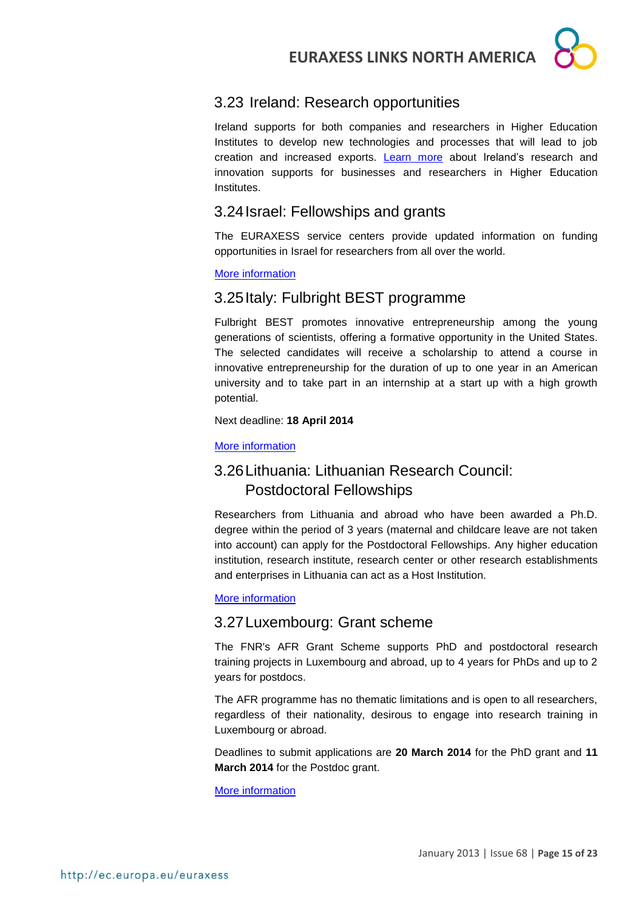

## <span id="page-14-0"></span>3.23 Ireland: Research opportunities

Ireland supports for both companies and researchers in Higher Education Institutes to develop new technologies and processes that will lead to job creation and increased exports. [Learn more](http://www.enterprise-ireland.com/en/Research-Innovation) about Ireland's research and innovation supports for businesses and researchers in Higher Education Institutes.

## <span id="page-14-1"></span>3.24Israel: Fellowships and grants

The EURAXESS service centers provide updated information on funding opportunities in Israel for researchers from all over the world.

#### [More information](http://www.euraxess.gov.il/UI/Fellowships-and-Grants/1-Israel.aspx)

## <span id="page-14-2"></span>3.25Italy: Fulbright BEST programme

Fulbright BEST promotes innovative entrepreneurship among the young generations of scientists, offering a formative opportunity in the United States. The selected candidates will receive a scholarship to attend a course in innovative entrepreneurship for the duration of up to one year in an American university and to take part in an internship at a start up with a high growth potential.

Next deadline: **18 April 2014**

#### <span id="page-14-3"></span>[More information](http://www.fulbright.it/it/news/programma-best-pubblicato-bando-di-concorso-per-la.a.-2014-15)

## <span id="page-14-4"></span>3.26Lithuania: Lithuanian Research Council: Postdoctoral Fellowships

Researchers from Lithuania and abroad who have been awarded a Ph.D. degree within the period of 3 years (maternal and childcare leave are not taken into account) can apply for the Postdoctoral Fellowships. Any higher education institution, research institute, research center or other research establishments and enterprises in Lithuania can act as a Host Institution.

#### [More information](http://www.lmt.lt/en/rnd/fellowships.html)

## <span id="page-14-5"></span>3.27Luxembourg: Grant scheme

The FNR's AFR Grant Scheme supports PhD and postdoctoral research training projects in Luxembourg and abroad, up to 4 years for PhDs and up to 2 years for postdocs.

The AFR programme has no thematic limitations and is open to all researchers, regardless of their nationality, desirous to engage into research training in Luxembourg or abroad.

Deadlines to submit applications are **20 March 2014** for the PhD grant and **11 March 2014** for the Postdoc grant.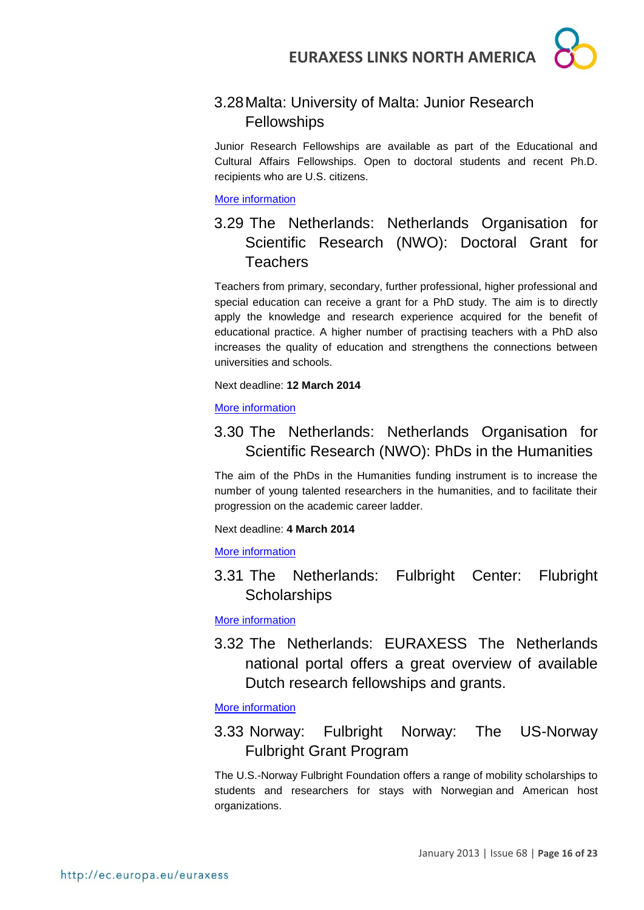## <span id="page-15-0"></span>3.28Malta: University of Malta: Junior Research Fellowships

Junior Research Fellowships are available as part of the Educational and Cultural Affairs Fellowships. Open to doctoral students and recent Ph.D. recipients who are U.S. citizens.

#### [More information](http://www.um.edu.mt/noticeboard/fellowships.html)

## <span id="page-15-1"></span>3.29 The Netherlands: Netherlands Organisation for Scientific Research (NWO): Doctoral Grant for **Teachers**

Teachers from primary, secondary, further professional, higher professional and special education can receive a grant for a PhD study. The aim is to directly apply the knowledge and research experience acquired for the benefit of educational practice. A higher number of practising teachers with a PhD also increases the quality of education and strengthens the connections between universities and schools.

Next deadline: **12 March 2014**

[More information](http://www.nwo.nl/en/funding/our-funding-instruments/nwo/doctoral-grant-for-teachers/doctoral-grant-for-teachers.html)

## <span id="page-15-2"></span>3.30 The Netherlands: Netherlands Organisation for Scientific Research (NWO): PhDs in the Humanities

The aim of the PhDs in the Humanities funding instrument is to increase the number of young talented researchers in the humanities, and to facilitate their progression on the academic career ladder.

Next deadline: **4 March 2014**

[More information](http://www.nwo.nl/en/funding/our-funding-instruments/gw/phds-in-the-humanities/phds-in-the-humanities.html)

<span id="page-15-3"></span>3.31 The Netherlands: Fulbright Center: Flubright **Scholarships** 

[More information](http://www.fulbright.nl/english/sponsored-fulbright-scholarships.html)

<span id="page-15-4"></span>3.32 The Netherlands: EURAXESS The Netherlands national portal offers a great overview of available Dutch research fellowships and grants.

[More information](http://www.euraxess.nl/fellowships-grants)

## <span id="page-15-5"></span>3.33 Norway: Fulbright Norway: The US-Norway Fulbright Grant Program

The U.S.-Norway Fulbright Foundation offers a range of mobility scholarships to students and researchers for stays with Norwegian and American host organizations.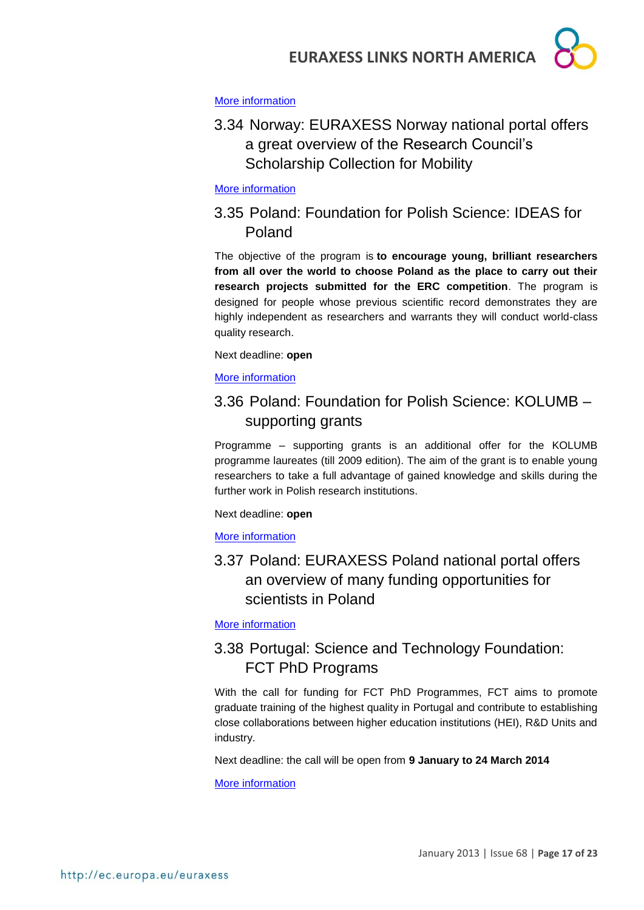

#### [More information](http://www.fulbright.no/en/grants/)

<span id="page-16-0"></span>3.34 Norway: EURAXESS Norway national portal offers a great overview of the Research Council's Scholarship Collection for Mobility

#### [More information](http://www.euraxess.no/prognett-euraxess/Funding/1229697992538)

## <span id="page-16-1"></span>3.35 Poland: Foundation for Polish Science: IDEAS for Poland

The objective of the program is **to encourage young, brilliant researchers from all over the world to choose Poland as the place to carry out their research projects submitted for the ERC competition**. The program is designed for people whose previous scientific record demonstrates they are highly independent as researchers and warrants they will conduct world-class quality research.

#### Next deadline: **open**

[More information](http://www.fnp.org.pl/en/oferta/ideas-for-poland/)

## <span id="page-16-2"></span>3.36 Poland: Foundation for Polish Science: KOLUMB – supporting grants

Programme – supporting grants is an additional offer for the KOLUMB programme laureates (till 2009 edition). The aim of the grant is to enable young researchers to take a full advantage of gained knowledge and skills during the further work in Polish research institutions.

Next deadline: **open**

#### [More information](http://www.fnp.org.pl/en/oferta/kolumb-granty-wspomagajace/)

## <span id="page-16-3"></span>3.37 Poland: EURAXESS Poland national portal offers an overview of many funding opportunities for scientists in Poland

[More information](http://www.euraxess.pl/index.php/jobs?start=1)

## <span id="page-16-4"></span>3.38 Portugal: Science and Technology Foundation: FCT PhD Programs

With the call for funding for FCT PhD Programmes, FCT aims to promote graduate training of the highest quality in Portugal and contribute to establishing close collaborations between higher education institutions (HEI), R&D Units and industry.

Next deadline: the call will be open from **9 January to 24 March 2014**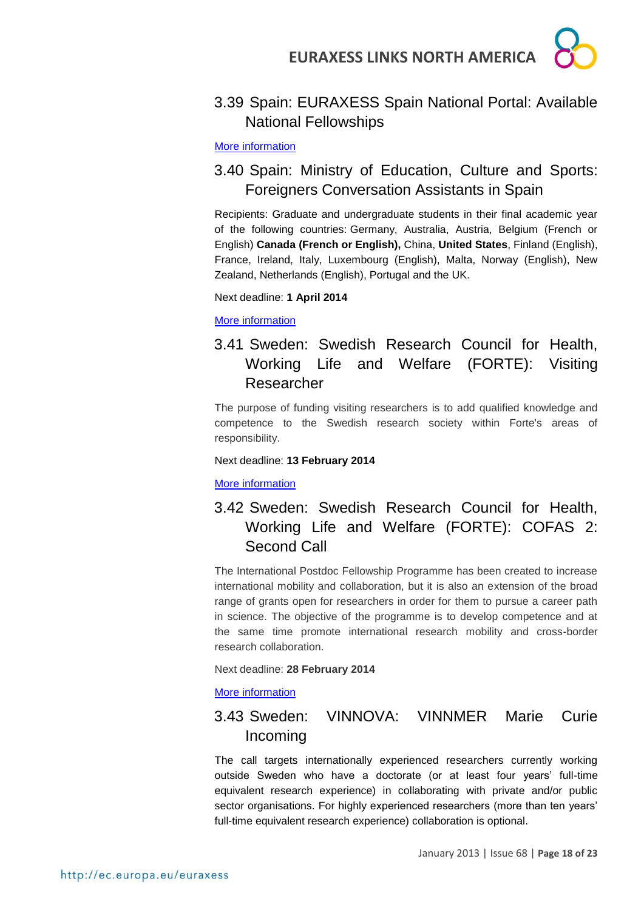

## <span id="page-17-0"></span>3.39 Spain: EURAXESS Spain National Portal: Available National Fellowships

#### [More information](http://euraxess.es/eng/jobs/national-fellowships)

## <span id="page-17-1"></span>3.40 Spain: Ministry of Education, Culture and Sports: Foreigners Conversation Assistants in Spain

Recipients: Graduate and undergraduate students in their final academic year of the following countries: Germany, Australia, Austria, Belgium (French or English) **Canada (French or English),** China, **United States**, Finland (English), France, Ireland, Italy, Luxembourg (English), Malta, Norway (English), New Zealand, Netherlands (English), Portugal and the UK.

Next deadline: **1 April 2014**

[More information](http://www.mecd.gob.es/servicios-al-ciudadano-mecd/catalogo-servicios/profesores/convocatorias/extranjeros/auxiliares-conversacion-extranjeros-espana.html)

## <span id="page-17-2"></span>3.41 Sweden: Swedish Research Council for Health, Working Life and Welfare (FORTE): Visiting Researcher

The purpose of funding visiting researchers is to add qualified knowledge and competence to the Swedish research society within Forte's areas of responsibility.

#### Next deadline: **13 February 2014**

#### [More information](http://www.forte.se/en/Calls-for-proposals/Open-calls/Visiting-researcher-fall-2013/)

## <span id="page-17-3"></span>3.42 Sweden: Swedish Research Council for Health, Working Life and Welfare (FORTE): COFAS 2: Second Call

The International Postdoc Fellowship Programme has been created to increase international mobility and collaboration, but it is also an extension of the broad range of grants open for researchers in order for them to pursue a career path in science. The objective of the programme is to develop competence and at the same time promote international research mobility and cross-border research collaboration.

Next deadline: **28 February 2014**

#### [More information](http://www.forte.se/en/Calls-for-proposals/Open-calls/cofas-2-fall-2013/)

## <span id="page-17-4"></span>3.43 Sweden: VINNOVA: VINNMER Marie Curie Incoming

The call targets internationally experienced researchers currently working outside Sweden who have a doctorate (or at least four years' full-time equivalent research experience) in collaborating with private and/or public sector organisations. For highly experienced researchers (more than ten years' full-time equivalent research experience) collaboration is optional.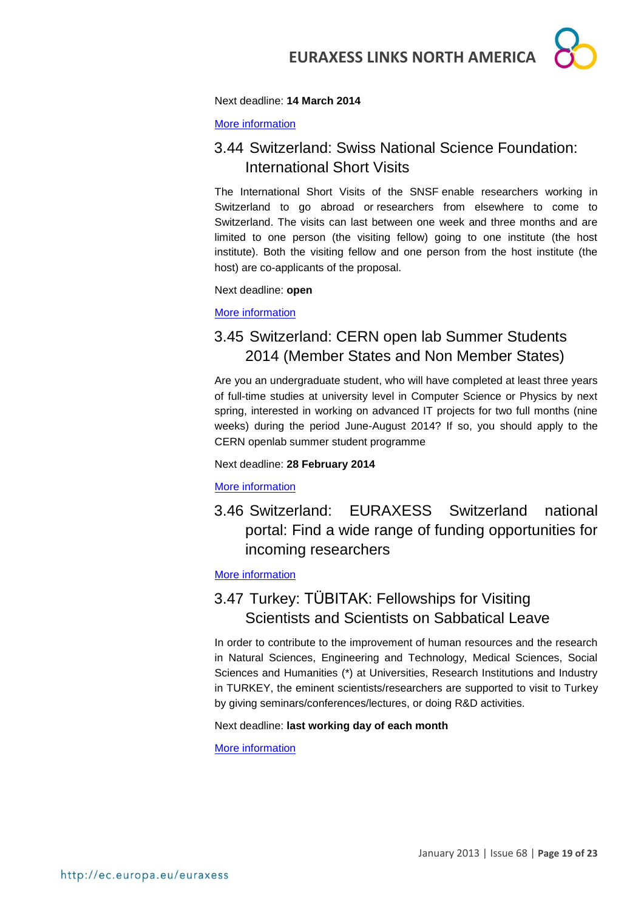

#### Next deadline: **14 March 2014**

[More information](http://www.vinnova.se/sv/Ansoka-och-rapportera/Utlysningar/Effekta/VINNMER-Marie-Curie-Incoming/)

## <span id="page-18-0"></span>3.44 Switzerland: Swiss National Science Foundation: International Short Visits

The International Short Visits of the SNSF enable researchers working in Switzerland to go abroad or researchers from elsewhere to come to Switzerland. The visits can last between one week and three months and are limited to one person (the visiting fellow) going to one institute (the host institute). Both the visiting fellow and one person from the host institute (the host) are co-applicants of the proposal.

Next deadline: **open**

[More information](http://www.snf.ch/SiteCollectionDocuments/int_eu_short_visits_e.pdf) 

## <span id="page-18-1"></span>3.45 Switzerland: CERN open lab Summer Students 2014 (Member States and Non Member States)

Are you an undergraduate student, who will have completed at least three years of full-time studies at university level in Computer Science or Physics by next spring, interested in working on advanced IT projects for two full months (nine weeks) during the period June-August 2014? If so, you should apply to the CERN openlab summer student programme

#### Next deadline: **28 February 2014**

#### [More information](http://jobs.web.cern.ch/job/10960)

<span id="page-18-2"></span>3.46 Switzerland: EURAXESS Switzerland national portal: Find a wide range of funding opportunities for incoming researchers

#### [More information](http://www.euraxess.ch/maincontent/fellowships-grants/incoming.html)

## <span id="page-18-3"></span>3.47 Turkey: TÜBITAK: Fellowships for Visiting Scientists and Scientists on Sabbatical Leave

In order to contribute to the improvement of human resources and the research in Natural Sciences, Engineering and Technology, Medical Sciences, Social Sciences and Humanities (\*) at Universities, Research Institutions and Industry in TURKEY, the eminent scientists/researchers are supported to visit to Turkey by giving seminars/conferences/lectures, or doing R&D activities.

#### Next deadline: **last working day of each month**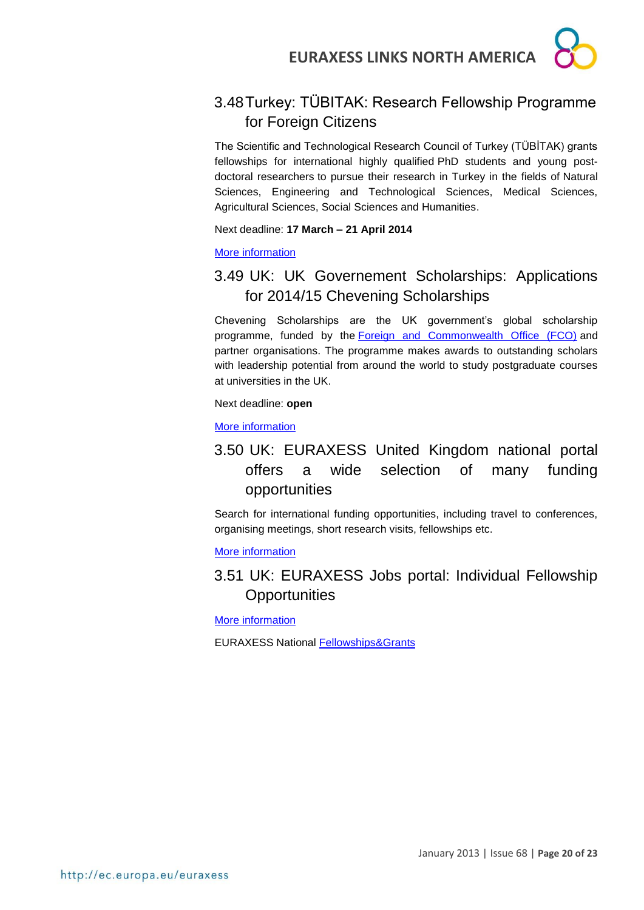

## <span id="page-19-0"></span>3.48Turkey: TÜBITAK: Research Fellowship Programme for Foreign Citizens

The Scientific and Technological Research Council of Turkey (TÜBİTAK) grants fellowships for international highly qualified PhD students and young postdoctoral researchers to pursue their research in Turkey in the fields of Natural Sciences, Engineering and Technological Sciences, Medical Sciences, Agricultural Sciences, Social Sciences and Humanities.

Next deadline: **17 March – 21 April 2014**

[More information](http://www.tubitak.gov.tr/en/content-scope-of-the-support)

## <span id="page-19-1"></span>3.49 UK: UK Governement Scholarships: Applications for 2014/15 Chevening Scholarships

Chevening Scholarships are the UK government's global scholarship programme, funded by the [Foreign and Commonwealth Office \(FCO\)](https://www.gov.uk/government/organisations/foreign-commonwealth-office) and partner organisations. The programme makes awards to outstanding scholars with leadership potential from around the world to study postgraduate courses at universities in the UK.

Next deadline: **open**

[More information](http://www.chevening.org/apply/)

## <span id="page-19-2"></span>3.50 UK: EURAXESS United Kingdom national portal offers a wide selection of many funding opportunities

Search for international funding opportunities, including travel to conferences, organising meetings, short research visits, fellowships etc.

[More information](http://euraxessfunds.britishcouncil.org/Search.aspx/Index)

## <span id="page-19-3"></span>3.51 UK: EURAXESS Jobs portal: Individual Fellowship **Opportunities**

**[More information](http://ec.europa.eu/euraxess/index.cfm/jobs/fgNationalLevel/careerStage/0/country/1379/researchField/0/page/1)** 

EURAXESS National [Fellowships&Grants](http://ec.europa.eu/euraxess/index.cfm/jobs/fgNationalLevel)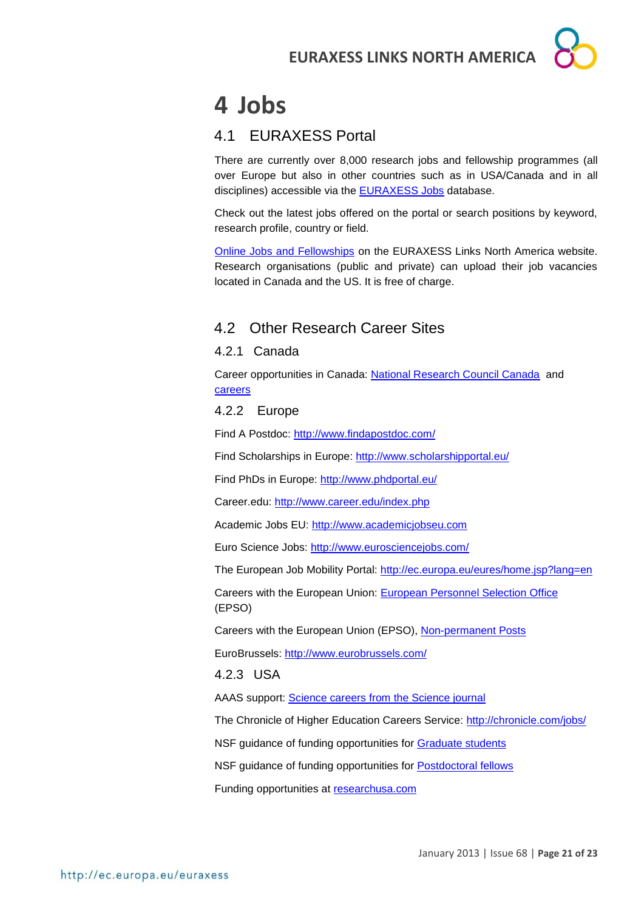## <span id="page-20-0"></span>**4 Jobs**

## <span id="page-20-1"></span>4.1 EURAXESS Portal

There are currently over 8,000 research jobs and fellowship programmes (all over Europe but also in other countries such as in USA/Canada and in all disciplines) accessible via the [EURAXESS Jobs](http://ec.europa.eu/euraxess/index.cfm/jobs/index) database.

Check out the latest jobs offered on the portal or search positions by keyword, research profile, country or field.

[Online Jobs and Fellowships](http://ec.europa.eu/euraxess/index.cfm/links/eurRes/north_america) on the EURAXESS Links North America website. Research organisations (public and private) can upload their job vacancies located in Canada and the US. It is free of charge.

## <span id="page-20-2"></span>4.2 Other Research Career Sites

### <span id="page-20-3"></span>4.2.1 Canada

Career opportunities in Canada: [National Research Council Canada](http://www.nrc-cnrc.gc.ca/eng/careers/index.html) and [careers](http://oraweb.aucc.ca/pls/ua/ua_re)

### <span id="page-20-4"></span>4.2.2 Europe

Find A Postdoc:<http://www.findapostdoc.com/>

Find Scholarships in Europe:<http://www.scholarshipportal.eu/>

Find PhDs in Europe:<http://www.phdportal.eu/>

Career.edu:<http://www.career.edu/index.php>

Academic Jobs EU: [http://www.academicjobseu.com](http://www.academicjobseu.com/)

Euro Science Jobs:<http://www.eurosciencejobs.com/>

The European Job Mobility Portal:<http://ec.europa.eu/eures/home.jsp?lang=en>

Careers with the European Union: [European Personnel Selection Office](http://europa.eu/epso/index_en.htm) (EPSO)

Careers with the European Union (EPSO), [Non-permanent Posts](http://europa.eu/epso/apply/today/temporary_en.htm)

EuroBrussels:<http://www.eurobrussels.com/>

#### <span id="page-20-5"></span>4.2.3 USA

AAAS support: [Science careers from the Science journal](http://sciencecareers.sciencemag.org/)

The Chronicle of Higher Education Careers Service:<http://chronicle.com/jobs/>

NSF guidance of funding opportunities for [Graduate students](http://www.nsf.gov/funding/education.jsp?fund_type=2)

NSF guidance of funding opportunities for [Postdoctoral fellows](http://www.nsf.gov/funding/education.jsp?fund_type=3)

Funding opportunities at [researchusa.com](http://www.researchresearch.com/index.php?option=com_content&view=article&id=21&Itemid=21)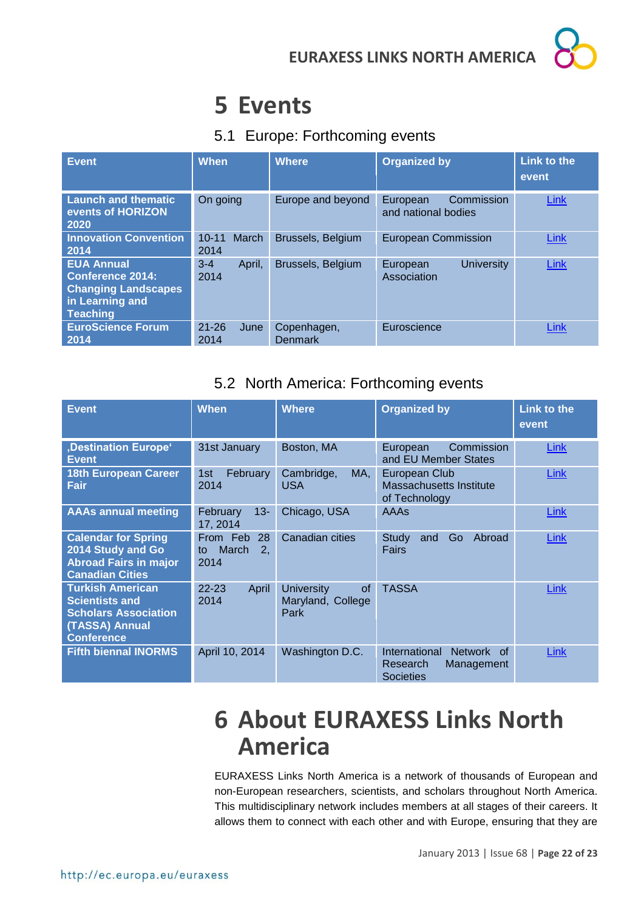## <span id="page-21-0"></span>**5 Events**

## <span id="page-21-1"></span>5.1 Europe: Forthcoming events

| <b>Event</b>                                                                                                     | <b>When</b>                       | <b>Where</b>                  | <b>Organized by</b>                           | Link to the<br>event |
|------------------------------------------------------------------------------------------------------------------|-----------------------------------|-------------------------------|-----------------------------------------------|----------------------|
| <b>Launch and thematic</b><br>events of HORIZON<br>2020                                                          | On going                          | Europe and beyond             | Commission<br>European<br>and national bodies | Link                 |
| <b>Innovation Convention</b><br>2014                                                                             | <b>March</b><br>$10 - 11$<br>2014 | Brussels, Belgium             | <b>European Commission</b>                    | Link                 |
| <b>EUA Annual</b><br><b>Conference 2014:</b><br><b>Changing Landscapes</b><br>in Learning and<br><b>Teaching</b> | $3 - 4$<br>April,<br>2014         | Brussels, Belgium             | <b>University</b><br>European<br>Association  | Link                 |
| <b>EuroScience Forum</b><br>2014                                                                                 | $21 - 26$<br>June<br>2014         | Copenhagen,<br><b>Denmark</b> | Euroscience                                   | Link                 |

## <span id="page-21-2"></span>5.2 North America: Forthcoming events

| <b>Event</b>                                                                                                           | <b>When</b>                                 | <b>Where</b>                                         | <b>Organized by</b>                                                                            | <b>Link to the</b><br>event |
|------------------------------------------------------------------------------------------------------------------------|---------------------------------------------|------------------------------------------------------|------------------------------------------------------------------------------------------------|-----------------------------|
| ,Destination Europe <sup>®</sup><br><b>Event</b>                                                                       | 31st January                                | Boston, MA                                           | <b>Commission</b><br>European<br>and EU Member States                                          | Link                        |
| 18th European Career<br>Fair                                                                                           | February<br>1st<br>2014                     | Cambridge,<br>MA,<br><b>USA</b>                      | European Club<br>Massachusetts Institute<br>of Technology                                      | Link                        |
| <b>AAAs annual meeting</b>                                                                                             | $13 -$<br>February<br>17, 2014              | Chicago, USA                                         | <b>AAAs</b>                                                                                    | Link                        |
| <b>Calendar for Spring</b><br>2014 Study and Go<br><b>Abroad Fairs in major</b><br><b>Canadian Cities</b>              | From Feb<br>28<br>March<br>2.<br>to<br>2014 | <b>Canadian cities</b>                               | Go<br>Abroad<br>Study<br>and<br>Fairs                                                          | Link                        |
| <b>Turkish American</b><br><b>Scientists and</b><br><b>Scholars Association</b><br>(TASSA) Annual<br><b>Conference</b> | $22 - 23$<br>April<br>2014                  | <b>University</b><br>of<br>Maryland, College<br>Park | <b>TASSA</b>                                                                                   | <b>Link</b>                 |
| <b>Fifth biennal INORMS</b>                                                                                            | April 10, 2014                              | Washington D.C.                                      | International<br><b>Network</b><br><sub>of</sub><br>Research<br>Management<br><b>Societies</b> | Link                        |

## <span id="page-21-3"></span>**6 About EURAXESS Links North America**

EURAXESS Links North America is a network of thousands of European and non-European researchers, scientists, and scholars throughout North America. This multidisciplinary network includes members at all stages of their careers. It allows them to connect with each other and with Europe, ensuring that they are